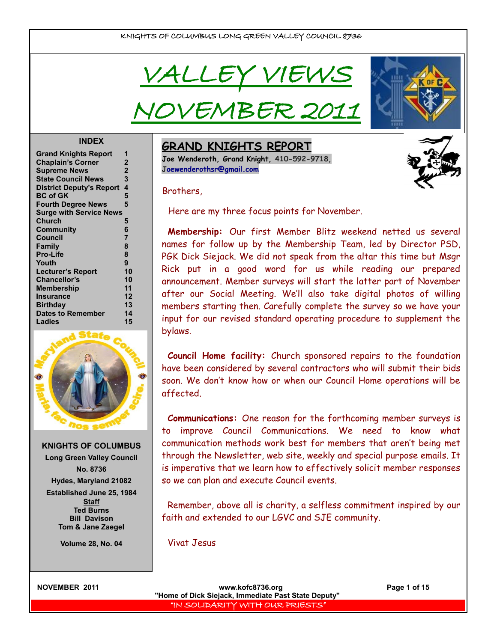VALLEY VIEWS

IVEMBER 20



#### **INDEX**

| <b>Grand Knights Report</b>     | 1              |
|---------------------------------|----------------|
| <b>Chaplain's Corner</b>        | $\mathbf 2$    |
| <b>Supreme News</b>             | $\overline{2}$ |
| <b>State Council News</b>       | 3              |
| <b>District Deputy's Report</b> | 4              |
| <b>BC of GK</b>                 | 5              |
| <b>Fourth Degree News</b>       | 5              |
| <b>Surge with Service News</b>  |                |
| Church                          | 5              |
| Community                       | 6              |
| <b>Council</b>                  | $\overline{7}$ |
| Family                          | 8              |
| <b>Pro-Life</b>                 | 8              |
| Youth                           | 9              |
| <b>Lecturer's Report</b>        | 10             |
| <b>Chancellor's</b>             | 10             |
| <b>Membership</b>               | 11             |
| <b>Insurance</b>                | 12             |
| <b>Birthday</b>                 | 13             |
| <b>Dates to Remember</b>        | 14             |
| Ladies                          | 15             |
|                                 |                |



**KNIGHTS OF COLUMBUS Long Green Valley Council No. 8736 Hydes, Maryland 21082 Established June 25, 1984 Staff**

> **Tom & Jane Zaegel Volume 28, No. 04**

**Ted Burns Bill Davison** **GRAND KNIGHTS REPORT**

**Joe Wenderoth, Grand Knight, 410-592-9718, [Joewenderothsr@gmail.com](mailto:Joewenderothsr@gmail.com)**

Brothers,

Here are my three focus points for November.

**Membership:** Our first Member Blitz weekend netted us several names for follow up by the Membership Team, led by Director PSD, PGK Dick Siejack. We did not speak from the altar this time but Msgr Rick put in a good word for us while reading our prepared announcement. Member surveys will start the latter part of November after our Social Meeting. We'll also take digital photos of willing members starting then. Carefully complete the survey so we have your input for our revised standard operating procedure to supplement the bylaws.

**Council Home facility:** Church sponsored repairs to the foundation have been considered by several contractors who will submit their bids soon. We don't know how or when our Council Home operations will be affected.

**Communications:** One reason for the forthcoming member surveys is to improve Council Communications. We need to know what communication methods work best for members that aren't being met through the Newsletter, web site, weekly and special purpose emails. It is imperative that we learn how to effectively solicit member responses so we can plan and execute Council events.

Remember, above all is charity, a selfless commitment inspired by our faith and extended to our LGVC and SJE community.

Vivat Jesus

**NOVEMBER 2011 www.kofc8736.org Page 1 of 15 "Home of Dick Siejack, Immediate Past State Deputy"**  "IN SOLIDARITY WITH OUR PRIESTS"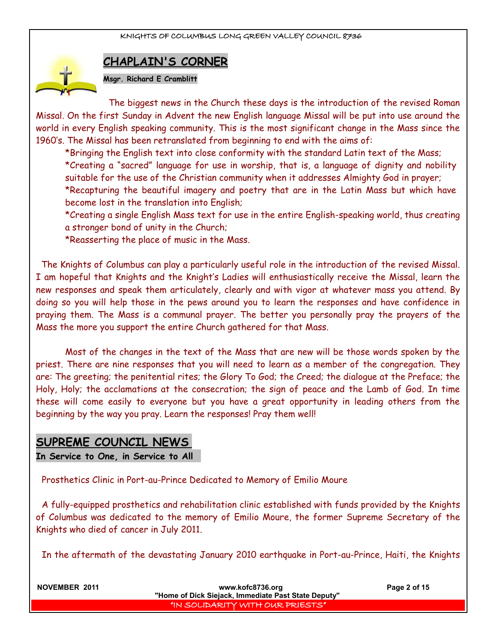

## **CHAPLAIN'S CORNER**

**Msgr. Richard E Cramblitt**

The biggest news in the Church these days is the introduction of the revised Roman Missal. On the first Sunday in Advent the new English language Missal will be put into use around the world in every English speaking community. This is the most significant change in the Mass since the 1960's. The Missal has been retranslated from beginning to end with the aims of:

\*Bringing the English text into close conformity with the standard Latin text of the Mass; \*Creating a "sacred" language for use in worship, that is, a language of dignity and nobility suitable for the use of the Christian community when it addresses Almighty God in prayer; \*Recapturing the beautiful imagery and poetry that are in the Latin Mass but which have become lost in the translation into English;

\*Creating a single English Mass text for use in the entire English-speaking world, thus creating a stronger bond of unity in the Church;

\*Reasserting the place of music in the Mass.

The Knights of Columbus can play a particularly useful role in the introduction of the revised Missal. I am hopeful that Knights and the Knight's Ladies will enthusiastically receive the Missal, learn the new responses and speak them articulately, clearly and with vigor at whatever mass you attend. By doing so you will help those in the pews around you to learn the responses and have confidence in praying them. The Mass is a communal prayer. The better you personally pray the prayers of the Mass the more you support the entire Church gathered for that Mass.

Most of the changes in the text of the Mass that are new will be those words spoken by the priest. There are nine responses that you will need to learn as a member of the congregation. They are: The greeting; the penitential rites; the Glory To God; the Creed; the dialogue at the Preface; the Holy, Holy; the acclamations at the consecration; the sign of peace and the Lamb of God. In time these will come easily to everyone but you have a great opportunity in leading others from the beginning by the way you pray. Learn the responses! Pray them well!

## **SUPREME COUNCIL NEWS**

**In Service to One, in Service to All** 

Prosthetics Clinic in Port-au-Prince Dedicated to Memory of Emilio Moure

A fully-equipped prosthetics and rehabilitation clinic established with funds provided by the Knights of Columbus was dedicated to the memory of Emilio Moure, the former Supreme Secretary of the Knights who died of cancer in July 2011.

In the aftermath of the devastating January 2010 earthquake in Port-au-Prince, Haiti, the Knights

**NOVEMBER 2011 www.kofc8736.org Page 2 of 15 "Home of Dick Siejack, Immediate Past State Deputy"**  "IN SOLIDARITY WITH OUR PRIESTS"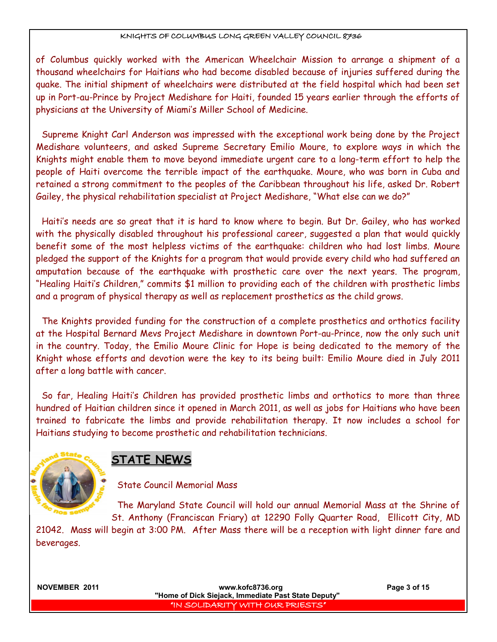of Columbus quickly worked with the American Wheelchair Mission to arrange a shipment of a thousand wheelchairs for Haitians who had become disabled because of injuries suffered during the quake. The initial shipment of wheelchairs were distributed at the field hospital which had been set up in Port-au-Prince by Project Medishare for Haiti, founded 15 years earlier through the efforts of physicians at the University of Miami's Miller School of Medicine.

Supreme Knight Carl Anderson was impressed with the exceptional work being done by the Project Medishare volunteers, and asked Supreme Secretary Emilio Moure, to explore ways in which the Knights might enable them to move beyond immediate urgent care to a long-term effort to help the people of Haiti overcome the terrible impact of the earthquake. Moure, who was born in Cuba and retained a strong commitment to the peoples of the Caribbean throughout his life, asked Dr. Robert Gailey, the physical rehabilitation specialist at Project Medishare, "What else can we do?"

Haiti's needs are so great that it is hard to know where to begin. But Dr. Gailey, who has worked with the physically disabled throughout his professional career, suggested a plan that would quickly benefit some of the most helpless victims of the earthquake: children who had lost limbs. Moure pledged the support of the Knights for a program that would provide every child who had suffered an amputation because of the earthquake with prosthetic care over the next years. The program, "Healing Haiti's Children," commits \$1 million to providing each of the children with prosthetic limbs and a program of physical therapy as well as replacement prosthetics as the child grows.

The Knights provided funding for the construction of a complete prosthetics and orthotics facility at the Hospital Bernard Mevs Project Medishare in downtown Port-au-Prince, now the only such unit in the country. Today, the Emilio Moure Clinic for Hope is being dedicated to the memory of the Knight whose efforts and devotion were the key to its being built: Emilio Moure died in July 2011 after a long battle with cancer.

So far, Healing Haiti's Children has provided prosthetic limbs and orthotics to more than three hundred of Haitian children since it opened in March 2011, as well as jobs for Haitians who have been trained to fabricate the limbs and provide rehabilitation therapy. It now includes a school for Haitians studying to become prosthetic and rehabilitation technicians.



## **STATE NEWS**

## State Council Memorial Mass

The Maryland State Council will hold our annual Memorial Mass at the Shrine of St. Anthony (Franciscan Friary) at 12290 Folly Quarter Road, Ellicott City, MD

21042. Mass will begin at 3:00 PM. After Mass there will be a reception with light dinner fare and beverages.

**NOVEMBER 2011 www.kofc8736.org Page 3 of 15 "Home of Dick Siejack, Immediate Past State Deputy"**  "IN SOLIDARITY WITH OUR PRIESTS"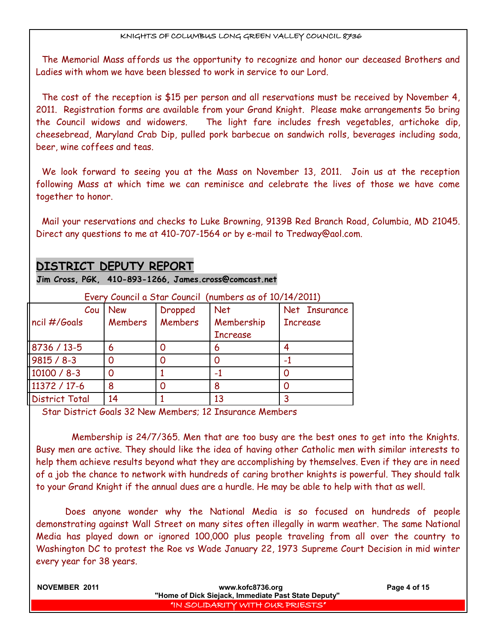The Memorial Mass affords us the opportunity to recognize and honor our deceased Brothers and Ladies with whom we have been blessed to work in service to our Lord.

The cost of the reception is \$15 per person and all reservations must be received by November 4, 2011. Registration forms are available from your Grand Knight. Please make arrangements 5o bring the Council widows and widowers. The light fare includes fresh vegetables, artichoke dip, cheesebread, Maryland Crab Dip, pulled pork barbecue on sandwich rolls, beverages including soda, beer, wine coffees and teas.

We look forward to seeing you at the Mass on November 13, 2011. Join us at the reception following Mass at which time we can reminisce and celebrate the lives of those we have come together to honor.

Mail your reservations and checks to Luke Browning, 9139B Red Branch Road, Columbia, MD 21045. Direct any questions to me at 410-707-1564 or by e-mail to Tredway@aol.com.

## **DISTRICT DEPUTY REPORT**

**Jim Cross, PGK, 410-893-1266, James.cross@comcast.net**

| Livery Council a Stian Council Thumber's as 01 TO/TH/ COILD |                |                |                 |                 |
|-------------------------------------------------------------|----------------|----------------|-----------------|-----------------|
| Cou                                                         | New            | Dropped        | Net             | Net Insurance   |
| ncil #/Goals                                                | <b>Members</b> | <b>Members</b> | Membership      | <b>Increase</b> |
|                                                             |                |                | <b>Increase</b> |                 |
| 8736 / 13-5                                                 | 6              |                | 6               |                 |
| $9815 / 8 - 3$                                              |                |                |                 |                 |
| 10100 / 8-3                                                 |                |                |                 |                 |
| 11372 / 17-6                                                | 8              |                |                 |                 |
| <b>District Total</b>                                       | 14             |                | 13              |                 |

Every Council a Star Council (numbers as of 10/14/2011)

Star District Goals 32 New Members; 12 Insurance Members

 Membership is 24/7/365. Men that are too busy are the best ones to get into the Knights. Busy men are active. They should like the idea of having other Catholic men with similar interests to help them achieve results beyond what they are accomplishing by themselves. Even if they are in need of a job the chance to network with hundreds of caring brother knights is powerful. They should talk to your Grand Knight if the annual dues are a hurdle. He may be able to help with that as well.

Does anyone wonder why the National Media is so focused on hundreds of people demonstrating against Wall Street on many sites often illegally in warm weather. The same National Media has played down or ignored 100,000 plus people traveling from all over the country to Washington DC to protest the Roe vs Wade January 22, 1973 Supreme Court Decision in mid winter every year for 38 years.

| NOVEMBER 2011 | www.kofc8736.org<br>"Home of Dick Siejack, Immediate Past State Deputy" | Page 4 of 15 |
|---------------|-------------------------------------------------------------------------|--------------|
|               | I "IN SOLIDARITY WITH OUR PRIESTS" I                                    |              |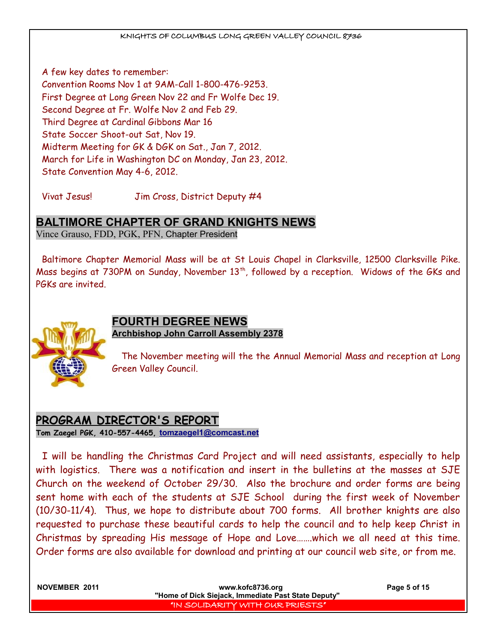A few key dates to remember: Convention Rooms Nov 1 at 9AM-Call 1-800-476-9253. First Degree at Long Green Nov 22 and Fr Wolfe Dec 19. Second Degree at Fr. Wolfe Nov 2 and Feb 29. Third Degree at Cardinal Gibbons Mar 16 State Soccer Shoot-out Sat, Nov 19. Midterm Meeting for GK & DGK on Sat., Jan 7, 2012. March for Life in Washington DC on Monday, Jan 23, 2012. State Convention May 4-6, 2012.

Vivat Jesus! Jim Cross, District Deputy #4

## **BALTIMORE CHAPTER OF GRAND KNIGHTS NEWS**

Vince Grauso, FDD, PGK, PFN, Chapter President

Baltimore Chapter Memorial Mass will be at St Louis Chapel in Clarksville, 12500 Clarksville Pike. Mass begins at 730PM on Sunday, November 13<sup>th</sup>, followed by a reception. Widows of the GKs and PGKs are invited.



## **FOURTH DEGREE NEWS Archbishop John Carroll Assembly 2378**

The November meeting will the the Annual Memorial Mass and reception at Long Green Valley Council.

## **PROGRAM DIRECTOR'S REPORT Tom Zaegel PGK, 410-557-4465, [tomzaegel1@comcast.net](mailto:tomzaegel1@comcast.net)**

I will be handling the Christmas Card Project and will need assistants, especially to help with logistics. There was a notification and insert in the bulletins at the masses at SJE Church on the weekend of October 29/30. Also the brochure and order forms are being sent home with each of the students at SJE School during the first week of November (10/30-11/4). Thus, we hope to distribute about 700 forms. All brother knights are also requested to purchase these beautiful cards to help the council and to help keep Christ in Christmas by spreading His message of Hope and Love…….which we all need at this time. Order forms are also available for download and printing at our council web site, or from me.

| NOVEMBER 2011 | www.kofc8736.org<br>"Home of Dick Siejack, Immediate Past State Deputy" | Page 5 of 15 |
|---------------|-------------------------------------------------------------------------|--------------|
|               | IN SOLIDARITY WITH OUR PRIESTS"                                         |              |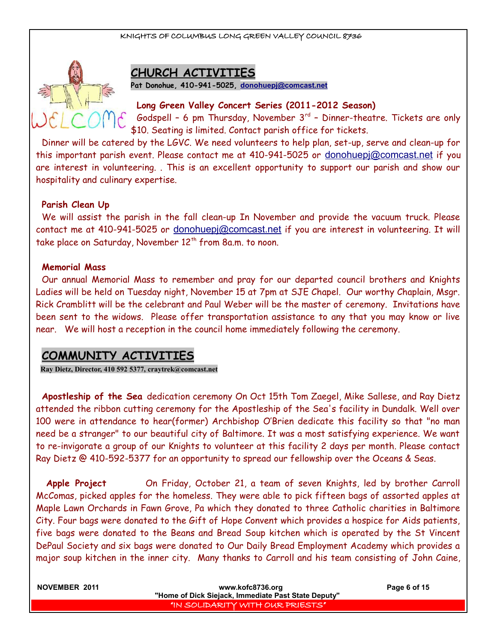

## **CHURCH ACTIVITIES**

**Pat Donohue, 410-941-5025, [donohuepj@comcast.net](mailto:donohuepj@comcast.net)**

#### **Long Green Valley Concert Series (2011-2012 Season)**

Godspell - 6 pm Thursday, November  $3^{rd}$  - Dinner-theatre. Tickets are only \$10. Seating is limited. Contact parish office for tickets.

Dinner will be catered by the LGVC. We need volunteers to help plan, set-up, serve and clean-up for this important parish event. Please contact me at 410-941-5025 or [donohuepj@comcast.net](mailto:donohuepj@comcast.net) if you are interest in volunteering. . This is an excellent opportunity to support our parish and show our hospitality and culinary expertise.

#### **Parish Clean Up**

We will assist the parish in the fall clean-up In November and provide the vacuum truck. Please contact me at 410-941-5025 or [donohuepj@comcast.net](mailto:donohuepj@comcast.net) if you are interest in volunteering. It will take place on Saturday, November 12<sup>th</sup> from 8a.m. to noon.

#### **Memorial Mass**

Our annual Memorial Mass to remember and pray for our departed council brothers and Knights Ladies will be held on Tuesday night, November 15 at 7pm at SJE Chapel. Our worthy Chaplain, Msgr. Rick Cramblitt will be the celebrant and Paul Weber will be the master of ceremony. Invitations have been sent to the widows. Please offer transportation assistance to any that you may know or live near. We will host a reception in the council home immediately following the ceremony.

## **COMMUNITY ACTIVITIES**

**Ray Dietz, Director, 410 592 5377, [craytrek@comcast.net](mailto:craytrek@comcast.net)**

**Apostleship of the Sea** dedication ceremony On Oct 15th Tom Zaegel, Mike Sallese, and Ray Dietz attended the ribbon cutting ceremony for the Apostleship of the Sea's facility in Dundalk. Well over 100 were in attendance to hear(former) Archbishop O'Brien dedicate this facility so that "no man need be a stranger" to our beautiful city of Baltimore. It was a most satisfying experience. We want to re-invigorate a group of our Knights to volunteer at this facility 2 days per month. Please contact Ray Dietz @ 410-592-5377 for an opportunity to spread our fellowship over the Oceans & Seas.

**Apple Project** On Friday, October 21, a team of seven Knights, led by brother Carroll McComas, picked apples for the homeless. They were able to pick fifteen bags of assorted apples at Maple Lawn Orchards in Fawn Grove, Pa which they donated to three Catholic charities in Baltimore City. Four bags were donated to the Gift of Hope Convent which provides a hospice for Aids patients, five bags were donated to the Beans and Bread Soup kitchen which is operated by the St Vincent DePaul Society and six bags were donated to Our Daily Bread Employment Academy which provides a major soup kitchen in the inner city. Many thanks to Carroll and his team consisting of John Caine,

| NOVEMBER 2011 | www.kofc8736.org<br>"Home of Dick Siejack, Immediate Past State Deputy" | Page 6 of 15 |
|---------------|-------------------------------------------------------------------------|--------------|
|               | I'IN SOLIDARITY WITH OUR PRIESTS"                                       |              |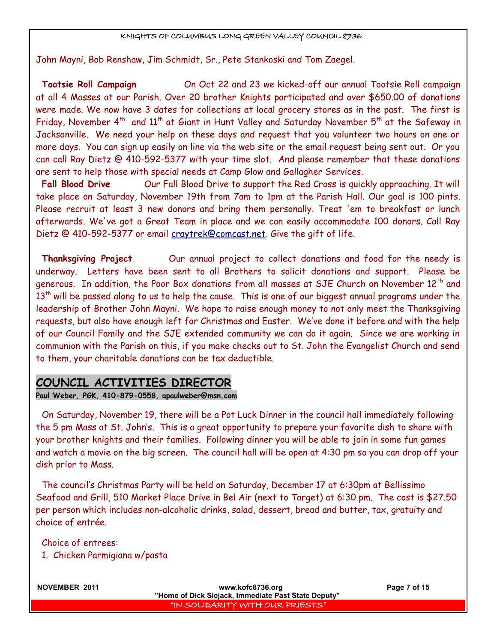John Mayni, Bob Renshaw, Jim Schmidt, Sr., Pete Stankoski and Tom Zaegel.

**Tootsie Roll Campaign** On Oct 22 and 23 we kicked-off our annual Tootsie Roll campaign at all 4 Masses at our Parish. Over 20 brother Knights participated and over \$650.00 of donations were made. We now have 3 dates for collections at local grocery stores as in the past. The first is Friday, November  $4<sup>th</sup>$  and  $11<sup>th</sup>$  at Giant in Hunt Valley and Saturday November  $5<sup>th</sup>$  at the Safeway in Jacksonville. We need your help on these days and request that you volunteer two hours on one or more days. You can sign up easily on line via the web site or the email request being sent out. Or you can call Ray Dietz @ 410-592-5377 with your time slot. And please remember that these donations are sent to help those with special needs at Camp Glow and Gallagher Services.

**Fall Blood Drive** Our Fall Blood Drive to support the Red Cross is quickly approaching. It will take place on Saturday, November 19th from 7am to 1pm at the Parish Hall. Our goal is 100 pints. Please recruit at least 3 new donors and bring them personally. Treat 'em to breakfast or lunch afterwards. We've got a Great Team in place and we can easily accommodate 100 donors. Call Ray Dietz @ 410-592-5377 or email [craytrek@comcast.net.](mailto:craytrek@comcast.net) Give the gift of life.

**Thanksgiving Project** Our annual project to collect donations and food for the needy is underway. Letters have been sent to all Brothers to solicit donations and support. Please be generous. In addition, the Poor Box donations from all masses at SJE Church on November  $12<sup>th</sup>$  and  $13<sup>th</sup>$  will be passed along to us to help the cause. This is one of our biggest annual programs under the leadership of Brother John Mayni. We hope to raise enough money to not only meet the Thanksgiving requests, but also have enough left for Christmas and Easter. We've done it before and with the help of our Council Family and the SJE extended community we can do it again. Since we are working in communion with the Parish on this, if you make checks out to St. John the Evangelist Church and send to them, your charitable donations can be tax deductible.

## **COUNCIL ACTIVITIES DIRECTOR**

**Paul Weber, PGK, 410-879-0558, apaulweber@msn.com**

On Saturday, November 19, there will be a Pot Luck Dinner in the council hall immediately following the 5 pm Mass at St. John's. This is a great opportunity to prepare your favorite dish to share with your brother knights and their families. Following dinner you will be able to join in some fun games and watch a movie on the big screen. The council hall will be open at 4:30 pm so you can drop off your dish prior to Mass.

The council's Christmas Party will be held on Saturday, December 17 at 6:30pm at Bellissimo Seafood and Grill, 510 Market Place Drive in Bel Air (next to Target) at 6:30 pm. The cost is \$27.50 per person which includes non-alcoholic drinks, salad, dessert, bread and butter, tax, gratuity and choice of entrée.

Choice of entrees:

1. Chicken Parmigiana w/pasta

**NOVEMBER 2011 www.kofc8736.org Page 7 of 15 "Home of Dick Siejack, Immediate Past State Deputy"**  "IN SOLIDARITY WITH OUR PRIESTS"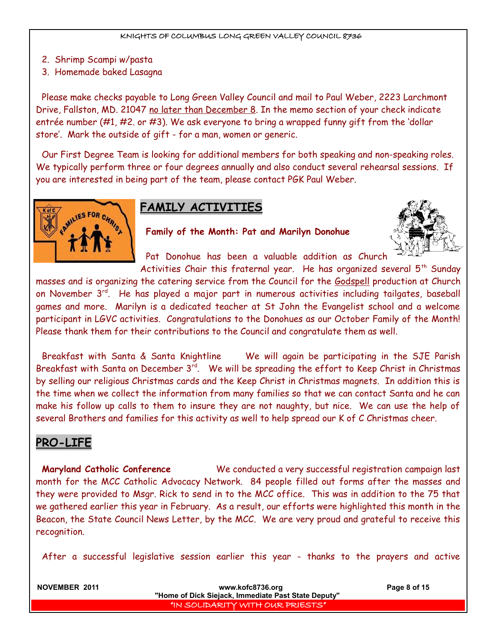- 2. Shrimp Scampi w/pasta
- 3. Homemade baked Lasagna

Please make checks payable to Long Green Valley Council and mail to Paul Weber, 2223 Larchmont Drive, Fallston, MD. 21047 no later than December 8. In the memo section of your check indicate entrée number (#1, #2. or #3). We ask everyone to bring a wrapped funny gift from the 'dollar store'. Mark the outside of gift - for a man, women or generic.

Our First Degree Team is looking for additional members for both speaking and non-speaking roles. We typically perform three or four degrees annually and also conduct several rehearsal sessions. If you are interested in being part of the team, please contact PGK Paul Weber.



## **FAMILY ACTIVITIES**

**Family of the Month: Pat and Marilyn Donohue**



Pat Donohue has been a valuable addition as Church

Activities Chair this fraternal year. He has organized several  $5<sup>th</sup>$  Sunday masses and is organizing the catering service from the Council for the Godspell production at Church on November 3<sup>rd</sup>. He has played a major part in numerous activities including tailgates, baseball games and more. Marilyn is a dedicated teacher at St John the Evangelist school and a welcome participant in LGVC activities. Congratulations to the Donohues as our October Family of the Month! Please thank them for their contributions to the Council and congratulate them as well.

Breakfast with Santa & Santa Knightline We will again be participating in the SJE Parish Breakfast with Santa on December  $3^{\text{rd}}$ . We will be spreading the effort to Keep Christ in Christmas by selling our religious Christmas cards and the Keep Christ in Christmas magnets. In addition this is the time when we collect the information from many families so that we can contact Santa and he can make his follow up calls to them to insure they are not naughty, but nice. We can use the help of several Brothers and families for this activity as well to help spread our K of C Christmas cheer.

## **PRO-LIFE**

**Maryland Catholic Conference** We conducted a very successful registration campaign last month for the MCC Catholic Advocacy Network. 84 people filled out forms after the masses and they were provided to Msgr. Rick to send in to the MCC office. This was in addition to the 75 that we gathered earlier this year in February. As a result, our efforts were highlighted this month in the Beacon, the State Council News Letter, by the MCC. We are very proud and grateful to receive this recognition.

After a successful legislative session earlier this year - thanks to the prayers and active

| <b>NOVEMBER 2011</b> | www.kofc8736.org                                    | Page 8 of 15 |
|----------------------|-----------------------------------------------------|--------------|
|                      | "Home of Dick Siejack, Immediate Past State Deputy" |              |
|                      | IN SOLIDARITY WITH OUR PRIESTS"                     |              |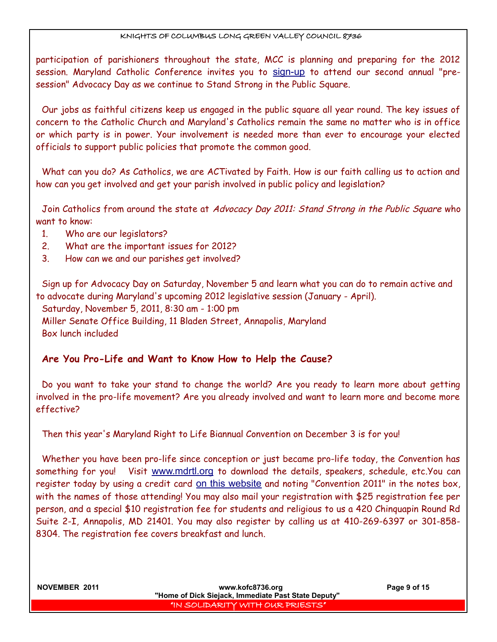participation of parishioners throughout the state, MCC is planning and preparing for the 2012 session. Maryland Catholic Conference invites you to [sign-up](http://www.mdcathcon.org/main.asp?page=1370) to attend our second annual "presession" Advocacy Day as we continue to Stand Strong in the Public Square.

Our jobs as faithful citizens keep us engaged in the public square all year round. The key issues of concern to the Catholic Church and Maryland's Catholics remain the same no matter who is in office or which party is in power. Your involvement is needed more than ever to encourage your elected officials to support public policies that promote the common good.

What can you do? As Catholics, we are ACTivated by Faith. How is our faith calling us to action and how can you get involved and get your parish involved in public policy and legislation?

Join Catholics from around the state at Advocacy Day 2011: Stand Strong in the Public Square who want to know:

- 1. Who are our legislators?
- 2. What are the important issues for 2012?
- 3. How can we and our parishes get involved?

Sign up for Advocacy Day on Saturday, November 5 and learn what you can do to remain active and to advocate during Maryland's upcoming 2012 legislative session (January - April). Saturday, November 5, 2011, 8:30 am - 1:00 pm Miller Senate Office Building, 11 Bladen Street, Annapolis, Maryland Box lunch included

## **Are You Pro-Life and Want to Know How to Help the Cause?**

Do you want to take your stand to change the world? Are you ready to learn more about getting involved in the pro-life movement? Are you already involved and want to learn more and become more effective?

Then this year's Maryland Right to Life Biannual Convention on December 3 is for you!

Whether you have been pro-life since conception or just became pro-life today, the Convention has something for you! Visit [www.mdrtl.org](http://www.mdrtl.org/) to download the details, speakers, schedule, etc.You can register today by using a credit card <u>On this website</u> and noting "Convention 2011" in the notes box, with the names of those attending! You may also mail your registration with \$25 registration fee per person, and a special \$10 registration fee for students and religious to us a 420 Chinquapin Round Rd Suite 2-I, Annapolis, MD 21401. You may also register by calling us at 410-269-6397 or 301-858- 8304. The registration fee covers breakfast and lunch.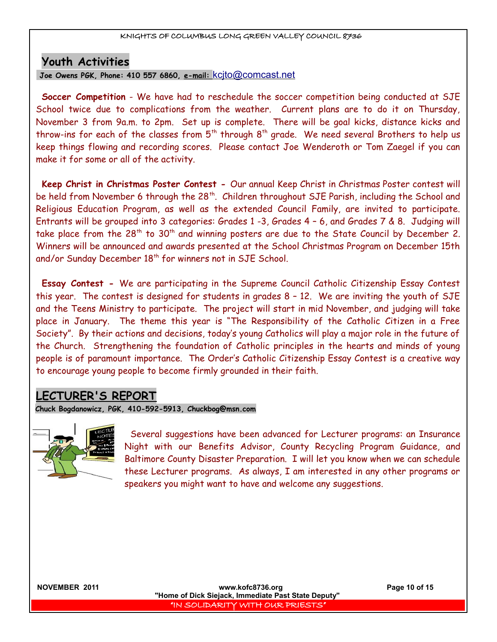## **Youth Activities**

 **Joe Owens PGK, Phone: 410 557 6860, e-mail:** [kcjto@comcast.net](mailto:kcjto@comcast.net)

**Soccer Competition** - We have had to reschedule the soccer competition being conducted at SJE School twice due to complications from the weather. Current plans are to do it on Thursday, November 3 from 9a.m. to 2pm. Set up is complete. There will be goal kicks, distance kicks and throw-ins for each of the classes from  $5<sup>th</sup>$  through  $8<sup>th</sup>$  grade. We need several Brothers to help us keep things flowing and recording scores. Please contact Joe Wenderoth or Tom Zaegel if you can make it for some or all of the activity.

**Keep Christ in Christmas Poster Contest -** Our annual Keep Christ in Christmas Poster contest will be held from November 6 through the 28<sup>th</sup>. Children throughout SJE Parish, including the School and Religious Education Program, as well as the extended Council Family, are invited to participate. Entrants will be grouped into 3 categories: Grades 1 -3, Grades 4 – 6, and Grades 7 & 8. Judging will take place from the 28<sup>th</sup> to 30<sup>th</sup> and winning posters are due to the State Council by December 2. Winners will be announced and awards presented at the School Christmas Program on December 15th and/or Sunday December 18<sup>th</sup> for winners not in SJE School.

**Essay Contest -** We are participating in the Supreme Council Catholic Citizenship Essay Contest this year. The contest is designed for students in grades 8 – 12. We are inviting the youth of SJE and the Teens Ministry to participate. The project will start in mid November, and judging will take place in January. The theme this year is "The Responsibility of the Catholic Citizen in a Free Society". By their actions and decisions, today's young Catholics will play a major role in the future of the Church. Strengthening the foundation of Catholic principles in the hearts and minds of young people is of paramount importance. The Order's Catholic Citizenship Essay Contest is a creative way to encourage young people to become firmly grounded in their faith.

## **LECTURER'S REPORT**

**Chuck Bogdanowicz, PGK, 410-592-5913, Chuckbog@msn.com**



Several suggestions have been advanced for Lecturer programs: an Insurance Night with our Benefits Advisor, County Recycling Program Guidance, and Baltimore County Disaster Preparation. I will let you know when we can schedule these Lecturer programs. As always, I am interested in any other programs or speakers you might want to have and welcome any suggestions.

**NOVEMBER 2011 www.kofc8736.org Page 10 of 15 "Home of Dick Siejack, Immediate Past State Deputy"**  "IN SOLIDARITY WITH OUR PRIESTS"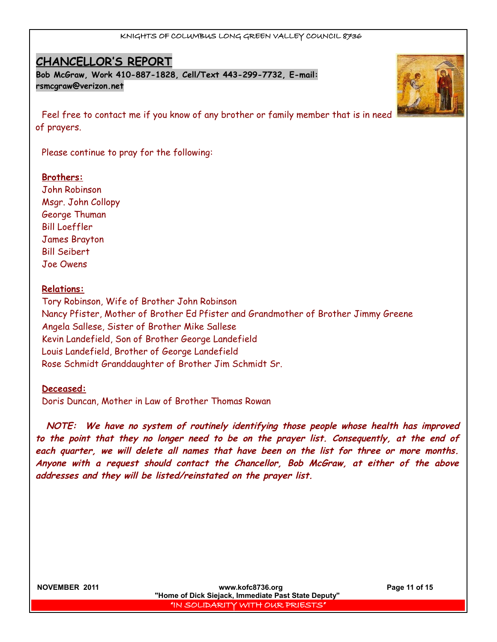## **CHANCELLOR'S REPORT**

**Bob McGraw, Work 410-887-1828, Cell/Text 443-299-7732, E-mail: [rsmcgraw@verizon.net](mailto:rsmcgraw@verizon.net)**

Feel free to contact me if you know of any brother or family member that is in need of prayers.

Please continue to pray for the following:

#### **Brothers:**

John Robinson Msgr. John Collopy George Thuman Bill Loeffler James Brayton Bill Seibert Joe Owens

#### **Relations:**

Tory Robinson, Wife of Brother John Robinson Nancy Pfister, Mother of Brother Ed Pfister and Grandmother of Brother Jimmy Greene Angela Sallese, Sister of Brother Mike Sallese Kevin Landefield, Son of Brother George Landefield Louis Landefield, Brother of George Landefield Rose Schmidt Granddaughter of Brother Jim Schmidt Sr.

#### **Deceased:**

Doris Duncan, Mother in Law of Brother Thomas Rowan

 **NOTE: We have no system of routinely identifying those people whose health has improved to the point that they no longer need to be on the prayer list. Consequently, at the end of each quarter, we will delete all names that have been on the list for three or more months.** Anyone with a request should contact the Chancellor, Bob McGraw, at either of the above **addresses and they will be listed/reinstated on the prayer list.**



**NOVEMBER 2011 www.kofc8736.org Page 11 of 15 "Home of Dick Siejack, Immediate Past State Deputy"**  "IN SOLIDARITY WITH OUR PRIESTS"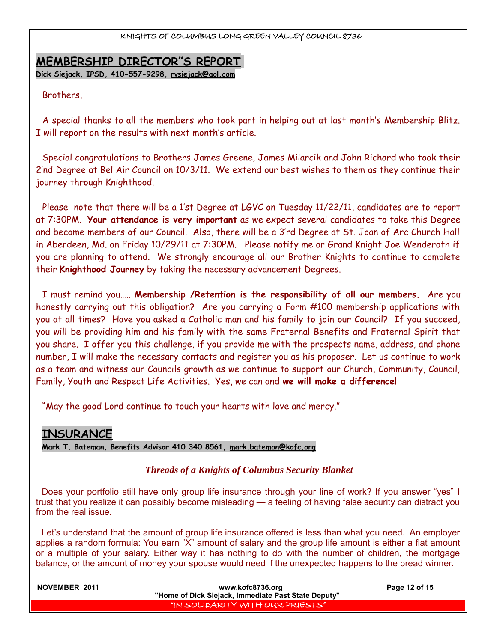## **MEMBERSHIP DIRECTOR"S REPORT**

**Dick Siejack, IPSD, 410-557-9298, [rvsiejack@aol.com](mailto:rvsiejack@aol.com)**

#### Brothers,

A special thanks to all the members who took part in helping out at last month's Membership Blitz. I will report on the results with next month's article.

Special congratulations to Brothers James Greene, James Milarcik and John Richard who took their 2'nd Degree at Bel Air Council on 10/3/11. We extend our best wishes to them as they continue their journey through Knighthood.

Please note that there will be a 1'st Degree at LGVC on Tuesday 11/22/11, candidates are to report at 7:30PM. **Your attendance is very important** as we expect several candidates to take this Degree and become members of our Council. Also, there will be a 3'rd Degree at St. Joan of Arc Church Hall in Aberdeen, Md. on Friday 10/29/11 at 7:30PM. Please notify me or Grand Knight Joe Wenderoth if you are planning to attend. We strongly encourage all our Brother Knights to continue to complete their **Knighthood Journey** by taking the necessary advancement Degrees.

I must remind you….. **Membership /Retention is the responsibility of all our members.** Are you honestly carrying out this obligation? Are you carrying a Form #100 membership applications with you at all times? Have you asked a Catholic man and his family to join our Council? If you succeed, you will be providing him and his family with the same Fraternal Benefits and Fraternal Spirit that you share. I offer you this challenge, if you provide me with the prospects name, address, and phone number, I will make the necessary contacts and register you as his proposer. Let us continue to work as a team and witness our Councils growth as we continue to support our Church, Community, Council, Family, Youth and Respect Life Activities. Yes, we can and **we will make a difference!**

"May the good Lord continue to touch your hearts with love and mercy."

## **INSURANCE**

**Mark T. Bateman, Benefits Advisor 410 340 8561, [mark.bateman@kofc.org](mailto:mark.bateman@kofc.org)**

### *Threads of a Knights of Columbus Security Blanket*

Does your portfolio still have only group life insurance through your line of work? If you answer "yes" I trust that you realize it can possibly become misleading — a feeling of having false security can distract you from the real issue.

Let's understand that the amount of group life insurance offered is less than what you need. An employer applies a random formula: You earn "X" amount of salary and the group life amount is either a flat amount or a multiple of your salary. Either way it has nothing to do with the number of children, the mortgage balance, or the amount of money your spouse would need if the unexpected happens to the bread winner.

| NOVEMBER 2011 | www.kofc8736.org                                    | Page 12 of 15 |
|---------------|-----------------------------------------------------|---------------|
|               | "Home of Dick Siejack, Immediate Past State Deputy" |               |
|               | I "IN SOLIDARITY WITH OUR PRIESTS"                  |               |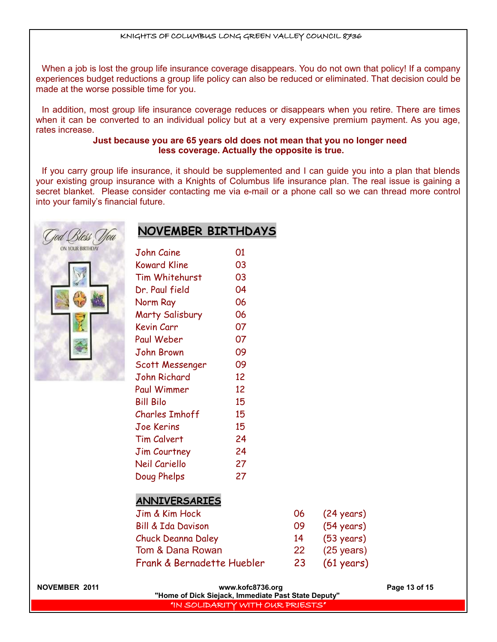When a job is lost the group life insurance coverage disappears. You do not own that policy! If a company experiences budget reductions a group life policy can also be reduced or eliminated. That decision could be made at the worse possible time for you.

In addition, most group life insurance coverage reduces or disappears when you retire. There are times when it can be converted to an individual policy but at a very expensive premium payment. As you age, rates increase.

#### **Just because you are 65 years old does not mean that you no longer need less coverage. Actually the opposite is true.**

If you carry group life insurance, it should be supplemented and I can guide you into a plan that blends your existing group insurance with a Knights of Columbus life insurance plan. The real issue is gaining a secret blanket. Please consider contacting me via e-mail or a phone call so we can thread more control into your family's financial future.





| John Caine          | 01 |
|---------------------|----|
| Koward Kline        | 03 |
| Tim Whitehurst      | 03 |
| Dr. Paul field      | 04 |
| Norm Ray            | 06 |
| Marty Salisbury     | 06 |
| Kevin Carr          | 07 |
| Paul Weber          | 07 |
| John Brown          | 09 |
| Scott Messenger     | 09 |
| John Richard        | 12 |
| Paul Wimmer         | 12 |
| <b>Bill Bilo</b>    | 15 |
| Charles Imhoff      | 15 |
| Joe Kerins          | 15 |
| <b>Tim Calvert</b>  | 24 |
| <b>Jim Courtney</b> | 24 |
| Neil Cariello       | 27 |
| Doug Phelps         | 27 |

**NOVEMBER BIRTHDAYS**

### **ANNIVERSARIES**

| Jim & Kim Hock                | 06.       | $(24 \text{ years})$ |
|-------------------------------|-----------|----------------------|
| <b>Bill &amp; Ida Davison</b> | 09        | $(54 \text{ years})$ |
| <b>Chuck Deanna Daley</b>     | 14        | $(53 \text{ years})$ |
| Tom & Dana Rowan              | <b>22</b> | $(25 \text{ years})$ |
| Frank & Bernadette Huebler    | 23        | $(61 \text{ years})$ |

| <b>NOVEMBER 2011</b> |  |
|----------------------|--|
|----------------------|--|

www.kofc8736.org Page 13 of 15 **"Home of Dick Siejack, Immediate Past State Deputy"**  "IN SOLIDARITY WITH OUR PRIESTS"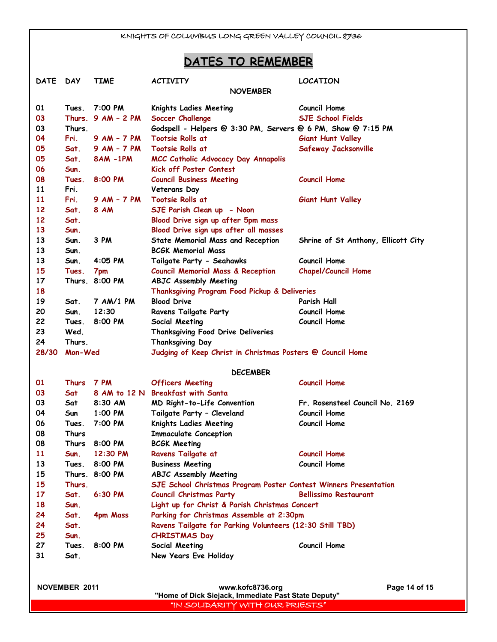## **DATES TO REMEMBER**

| <b>NOVEMBER</b><br>7:00 PM<br><b>Council Home</b><br>01<br>Knights Ladies Meeting<br>Tues.<br>03<br>Thurs. $9AM - 2PM$<br><b>SJE School Fields</b><br>Soccer Challenge<br>03<br>Thurs.<br>Godspell - Helpers @ 3:30 PM, Servers @ 6 PM, Show @ 7:15 PM<br>04<br>Fri.<br><b>Tootsie Rolls at</b><br>$9$ AM $-$ 7 PM<br><b>Giant Hunt Valley</b> |  |
|------------------------------------------------------------------------------------------------------------------------------------------------------------------------------------------------------------------------------------------------------------------------------------------------------------------------------------------------|--|
|                                                                                                                                                                                                                                                                                                                                                |  |
|                                                                                                                                                                                                                                                                                                                                                |  |
|                                                                                                                                                                                                                                                                                                                                                |  |
|                                                                                                                                                                                                                                                                                                                                                |  |
|                                                                                                                                                                                                                                                                                                                                                |  |
| 05<br>$9$ AM $-$ 7 PM<br><b>Tootsie Rolls at</b><br>Sat.<br>Safeway Jacksonville                                                                                                                                                                                                                                                               |  |
| 05<br>Sat.<br><b>8AM-1PM</b><br>MCC Catholic Advocacy Day Annapolis                                                                                                                                                                                                                                                                            |  |
| 06<br>Kick off Poster Contest<br>Sun.                                                                                                                                                                                                                                                                                                          |  |
| <b>Council Home</b><br>08<br>8:00 PM<br>Tues.<br><b>Council Business Meeting</b>                                                                                                                                                                                                                                                               |  |
| 11<br>Fri.<br>Veterans Day                                                                                                                                                                                                                                                                                                                     |  |
| 11<br><b>9 AM - 7 PM</b><br>Fri.<br><b>Tootsie Rolls at</b><br><b>Giant Hunt Valley</b>                                                                                                                                                                                                                                                        |  |
| 12<br><b>8 AM</b><br>SJE Parish Clean up - Noon<br>Sat.                                                                                                                                                                                                                                                                                        |  |
| 12<br>Sat.<br>Blood Drive sign up after 5pm mass                                                                                                                                                                                                                                                                                               |  |
| 13<br>Blood Drive sign ups after all masses<br>Sun.                                                                                                                                                                                                                                                                                            |  |
| 13<br>3 PM<br>Sun.<br><b>State Memorial Mass and Reception</b><br>Shrine of St Anthony, Ellicott City                                                                                                                                                                                                                                          |  |
| 13<br><b>BCGK Memorial Mass</b><br>Sun.                                                                                                                                                                                                                                                                                                        |  |
| 13<br>4:05 PM<br><b>Council Home</b><br>Sun.<br>Tailgate Party - Seahawks                                                                                                                                                                                                                                                                      |  |
| 15<br><b>Council Memorial Mass &amp; Reception</b><br><b>Chapel/Council Home</b><br>Tues.<br>7pm                                                                                                                                                                                                                                               |  |
| 17<br>Thurs 8:00 PM<br><b>ABJC Assembly Meeting</b>                                                                                                                                                                                                                                                                                            |  |
| 18<br>Thanksgiving Program Food Pickup & Deliveries                                                                                                                                                                                                                                                                                            |  |
| 19<br>7 AM/1 PM<br><b>Blood Drive</b><br>Parish Hall<br>Sat.                                                                                                                                                                                                                                                                                   |  |
| 20<br>12:30<br>Council Home<br>Sun.<br><b>Ravens Tailgate Party</b>                                                                                                                                                                                                                                                                            |  |
| 22<br>8:00 PM<br>Council Home<br>Tues.<br>Social Meeting                                                                                                                                                                                                                                                                                       |  |
| 23<br>Wed.<br>Thanksgiving Food Drive Deliveries                                                                                                                                                                                                                                                                                               |  |
| 24<br>Thurs.<br>Thanksgiving Day                                                                                                                                                                                                                                                                                                               |  |
| 28/30<br>Mon-Wed<br>Judging of Keep Christ in Christmas Posters @ Council Home                                                                                                                                                                                                                                                                 |  |
| <b>DECEMBER</b>                                                                                                                                                                                                                                                                                                                                |  |
| <b>7 PM</b><br><b>Council Home</b><br>01<br><b>Thurs</b><br><b>Officers Meeting</b>                                                                                                                                                                                                                                                            |  |
| 03<br>8 AM to 12 N<br><b>Breakfast with Santa</b><br>Sat                                                                                                                                                                                                                                                                                       |  |
| 03<br>8:30 AM<br>MD Right-to-Life Convention<br>Fr. Rosensteel Council No. 2169<br>Sat                                                                                                                                                                                                                                                         |  |
| <b>Council Home</b><br>04<br>1:00 PM<br>Tailgate Party - Cleveland<br>Sun                                                                                                                                                                                                                                                                      |  |
| 06<br>7:00 PM<br><b>Council Home</b><br>Knights Ladies Meeting<br>Tues.                                                                                                                                                                                                                                                                        |  |
| 08<br>Thurs<br><b>Immaculate Conception</b>                                                                                                                                                                                                                                                                                                    |  |
| 08<br>Thurs<br>8:00 PM<br><b>BCGK Meeting</b>                                                                                                                                                                                                                                                                                                  |  |
| 11<br>Sun.<br>12:30 PM<br>Ravens Tailgate at<br><b>Council Home</b>                                                                                                                                                                                                                                                                            |  |
| 13<br><b>Council Home</b><br>8:00 PM<br><b>Business Meeting</b><br>Tues.                                                                                                                                                                                                                                                                       |  |
| 15<br>Thurs. 8:00 PM<br><b>ABJC Assembly Meeting</b>                                                                                                                                                                                                                                                                                           |  |
| 15<br>Thurs.<br>SJE School Christmas Program Poster Contest Winners Presentation                                                                                                                                                                                                                                                               |  |
| 17<br>6:30 P.M<br><b>Council Christmas Party</b><br><b>Bellissimo Restaurant</b><br>Sat.                                                                                                                                                                                                                                                       |  |
| 18<br>Light up for Christ & Parish Christmas Concert<br>Sun.                                                                                                                                                                                                                                                                                   |  |
| 24<br>Parking for Christmas Assemble at 2:30pm<br>Sat.<br>4pm Mass                                                                                                                                                                                                                                                                             |  |
| 24<br>Sat.<br>Ravens Tailgate for Parking Volunteers (12:30 Still TBD)                                                                                                                                                                                                                                                                         |  |
| 25<br><b>CHRISTMAS Day</b><br>Sun.                                                                                                                                                                                                                                                                                                             |  |
| <b>Council Home</b><br>27<br>8:00 PM<br>Social Meeting<br>Tues.                                                                                                                                                                                                                                                                                |  |
| 31<br>New Years Eve Holiday<br>Sat.                                                                                                                                                                                                                                                                                                            |  |
|                                                                                                                                                                                                                                                                                                                                                |  |
| <b>NOVEMBER 2011</b><br>www.kofc8736.org<br>Page 14 of 15                                                                                                                                                                                                                                                                                      |  |
| "Home of Dick Siejack, Immediate Past State Deputy"                                                                                                                                                                                                                                                                                            |  |
| "IN SOLIDARITY WITH OUR PRIESTS"                                                                                                                                                                                                                                                                                                               |  |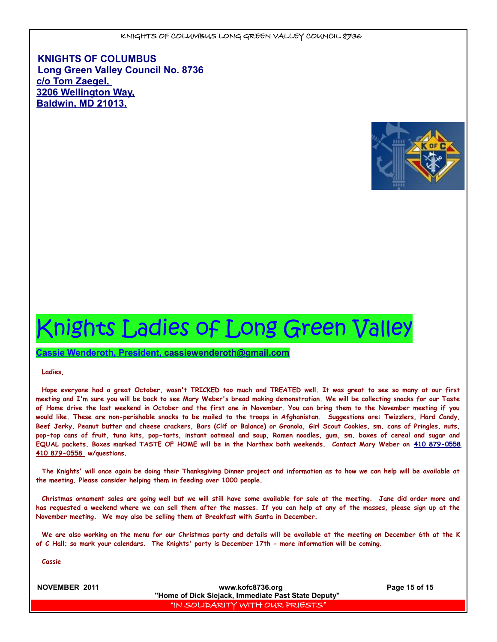**KNIGHTS OF COLUMBUS Long Green Valley Council No. 8736 c/o Tom Zaegel, 3206 Wellington Way, Baldwin, MD 21013.**



# Knights Ladies of Long Green Valley

 **Cassie Wenderoth, President, cassiewenderoth@gmail.com**

**Ladies,**

**Hope everyone had a great October, wasn't TRICKED too much and TREATED well. It was great to see so many at our first meeting and I'm sure you will be back to see Mary Weber's bread making demonstration. We will be collecting snacks for our Taste of Home drive the last weekend in October and the first one in November. You can bring them to the November meeting if you would like. These are non-perishable snacks to be mailed to the troops in Afghanistan. Suggestions are: Twizzlers, Hard Candy, Beef Jerky, Peanut butter and cheese crackers, Bars (Clif or Balance) or Granola, Girl Scout Cookies, sm. cans of Pringles, nuts, pop-top cans of fruit, tuna kits, pop-tarts, instant oatmeal and soup, Ramen noodles, gum, sm. boxes of cereal and sugar and EQUAL packets. Boxes marked TASTE OF HOME will be in the Narthex both weekends. Contact Mary Weber on [410 879-0558](tel:410%20879-0558)  [410 879-0558](tel:410%20879-0558) w/questions.** 

**The Knights' will once again be doing their Thanksgiving Dinner project and information as to how we can help will be available at the meeting. Please consider helping them in feeding over 1000 people.**

**Christmas ornament sales are going well but we will still have some available for sale at the meeting. Jane did order more and has requested a weekend where we can sell them after the masses. If you can help at any of the masses, please sign up at the November meeting. We may also be selling them at Breakfast with Santa in December.**

**We are also working on the menu for our Christmas party and details will be available at the meeting on December 6th at the K of C Hall; so mark your calendars. The Knights' party is December 17th - more information will be coming.** 

**Cassie**

**NOVEMBER 2011 www.kofc8736.org Page 15 of 15 "Home of Dick Siejack, Immediate Past State Deputy"**  "IN SOLIDARITY WITH OUR PRIESTS"